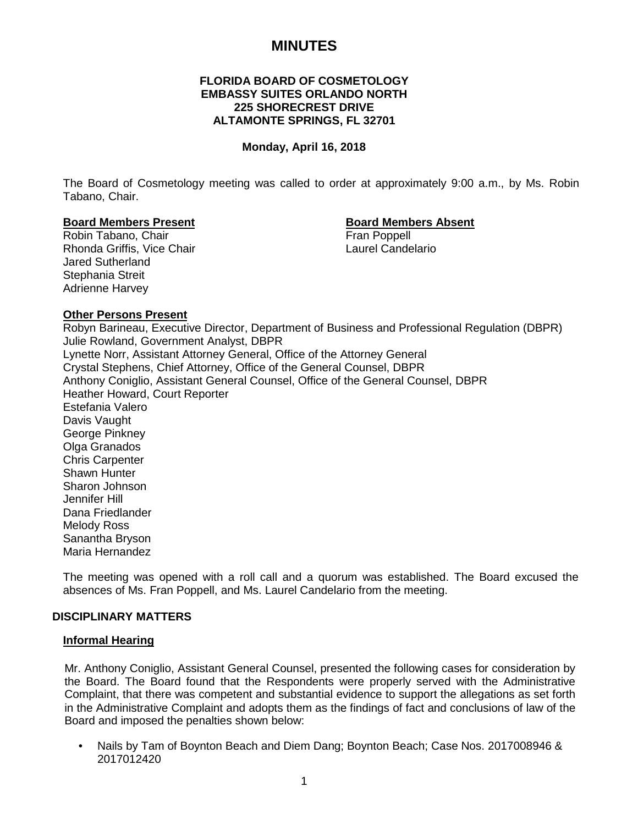# **MINUTES**

## **FLORIDA BOARD OF COSMETOLOGY EMBASSY SUITES ORLANDO NORTH 225 SHORECREST DRIVE ALTAMONTE SPRINGS, FL 32701**

#### **Monday, April 16, 2018**

The Board of Cosmetology meeting was called to order at approximately 9:00 a.m., by Ms. Robin Tabano, Chair.

#### **Board Members Present Board Members Absent**

Robin Tabano, Chair **Fran Poppell** Rhonda Griffis, Vice Chair **Laurel Candelario** Laurel Candelario Jared Sutherland Stephania Streit Adrienne Harvey

## **Other Persons Present**

Robyn Barineau, Executive Director, Department of Business and Professional Regulation (DBPR) Julie Rowland, Government Analyst, DBPR Lynette Norr, Assistant Attorney General, Office of the Attorney General Crystal Stephens, Chief Attorney, Office of the General Counsel, DBPR Anthony Coniglio, Assistant General Counsel, Office of the General Counsel, DBPR Heather Howard, Court Reporter Estefania Valero Davis Vaught George Pinkney Olga Granados Chris Carpenter Shawn Hunter Sharon Johnson Jennifer Hill Dana Friedlander Melody Ross Sanantha Bryson Maria Hernandez

The meeting was opened with a roll call and a quorum was established. The Board excused the absences of Ms. Fran Poppell, and Ms. Laurel Candelario from the meeting.

#### **DISCIPLINARY MATTERS**

#### **Informal Hearing**

Mr. Anthony Coniglio, Assistant General Counsel, presented the following cases for consideration by the Board. The Board found that the Respondents were properly served with the Administrative Complaint, that there was competent and substantial evidence to support the allegations as set forth in the Administrative Complaint and adopts them as the findings of fact and conclusions of law of the Board and imposed the penalties shown below:

• Nails by Tam of Boynton Beach and Diem Dang; Boynton Beach; Case Nos. 2017008946 & 2017012420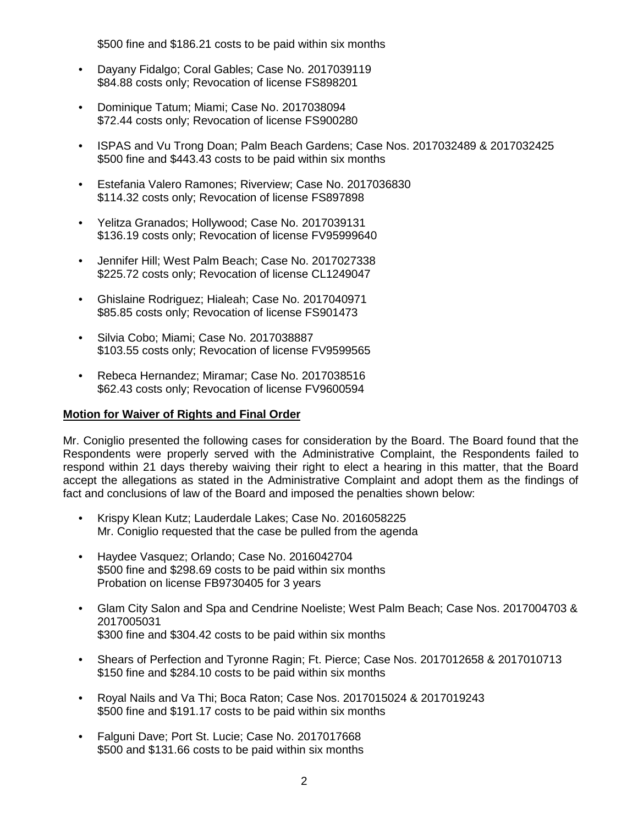\$500 fine and \$186.21 costs to be paid within six months

- Dayany Fidalgo; Coral Gables; Case No. 2017039119 \$84.88 costs only; Revocation of license FS898201
- Dominique Tatum; Miami; Case No. 2017038094 \$72.44 costs only; Revocation of license FS900280
- ISPAS and Vu Trong Doan; Palm Beach Gardens; Case Nos. 2017032489 & 2017032425 \$500 fine and \$443.43 costs to be paid within six months
- Estefania Valero Ramones; Riverview; Case No. 2017036830 \$114.32 costs only; Revocation of license FS897898
- Yelitza Granados; Hollywood; Case No. 2017039131 \$136.19 costs only; Revocation of license FV95999640
- Jennifer Hill; West Palm Beach; Case No. 2017027338 \$225.72 costs only; Revocation of license CL1249047
- Ghislaine Rodriguez; Hialeah; Case No. 2017040971 \$85.85 costs only; Revocation of license FS901473
- Silvia Cobo; Miami; Case No. 2017038887 \$103.55 costs only; Revocation of license FV9599565
- Rebeca Hernandez; Miramar; Case No. 2017038516 \$62.43 costs only; Revocation of license FV9600594

## **Motion for Waiver of Rights and Final Order**

Mr. Coniglio presented the following cases for consideration by the Board. The Board found that the Respondents were properly served with the Administrative Complaint, the Respondents failed to respond within 21 days thereby waiving their right to elect a hearing in this matter, that the Board accept the allegations as stated in the Administrative Complaint and adopt them as the findings of fact and conclusions of law of the Board and imposed the penalties shown below:

- Krispy Klean Kutz; Lauderdale Lakes; Case No. 2016058225 Mr. Coniglio requested that the case be pulled from the agenda
- Haydee Vasquez; Orlando; Case No. 2016042704 \$500 fine and \$298.69 costs to be paid within six months Probation on license FB9730405 for 3 years
- Glam City Salon and Spa and Cendrine Noeliste; West Palm Beach; Case Nos. 2017004703 & 2017005031 \$300 fine and \$304.42 costs to be paid within six months
- Shears of Perfection and Tyronne Ragin; Ft. Pierce; Case Nos. 2017012658 & 2017010713 \$150 fine and \$284.10 costs to be paid within six months
- Royal Nails and Va Thi; Boca Raton; Case Nos. 2017015024 & 2017019243 \$500 fine and \$191.17 costs to be paid within six months
- Falguni Dave; Port St. Lucie; Case No. 2017017668 \$500 and \$131.66 costs to be paid within six months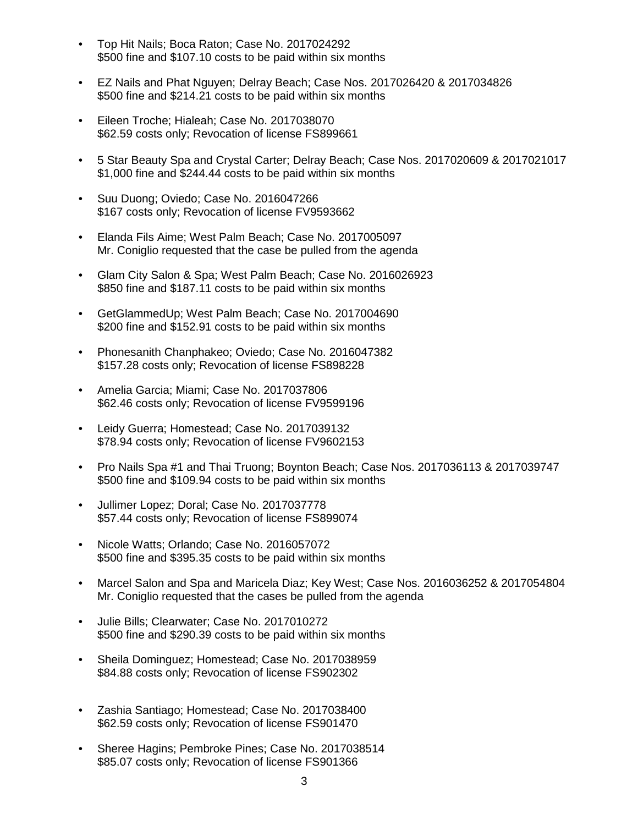- Top Hit Nails; Boca Raton; Case No. 2017024292 \$500 fine and \$107.10 costs to be paid within six months
- EZ Nails and Phat Nguyen; Delray Beach; Case Nos. 2017026420 & 2017034826 \$500 fine and \$214.21 costs to be paid within six months
- Eileen Troche; Hialeah; Case No. 2017038070 \$62.59 costs only; Revocation of license FS899661
- 5 Star Beauty Spa and Crystal Carter; Delray Beach; Case Nos. 2017020609 & 2017021017 \$1,000 fine and \$244.44 costs to be paid within six months
- Suu Duong; Oviedo; Case No. 2016047266 \$167 costs only; Revocation of license FV9593662
- Elanda Fils Aime; West Palm Beach; Case No. 2017005097 Mr. Coniglio requested that the case be pulled from the agenda
- Glam City Salon & Spa; West Palm Beach; Case No. 2016026923 \$850 fine and \$187.11 costs to be paid within six months
- GetGlammedUp; West Palm Beach; Case No. 2017004690 \$200 fine and \$152.91 costs to be paid within six months
- Phonesanith Chanphakeo; Oviedo; Case No. 2016047382 \$157.28 costs only; Revocation of license FS898228
- Amelia Garcia; Miami; Case No. 2017037806 \$62.46 costs only; Revocation of license FV9599196
- Leidy Guerra; Homestead; Case No. 2017039132 \$78.94 costs only; Revocation of license FV9602153
- Pro Nails Spa #1 and Thai Truong; Boynton Beach; Case Nos. 2017036113 & 2017039747 \$500 fine and \$109.94 costs to be paid within six months
- Jullimer Lopez; Doral; Case No. 2017037778 \$57.44 costs only; Revocation of license FS899074
- Nicole Watts; Orlando; Case No. 2016057072 \$500 fine and \$395.35 costs to be paid within six months
- Marcel Salon and Spa and Maricela Diaz; Key West; Case Nos. 2016036252 & 2017054804 Mr. Coniglio requested that the cases be pulled from the agenda
- Julie Bills; Clearwater; Case No. 2017010272 \$500 fine and \$290.39 costs to be paid within six months
- Sheila Dominguez; Homestead; Case No. 2017038959 \$84.88 costs only; Revocation of license FS902302
- Zashia Santiago; Homestead; Case No. 2017038400 \$62.59 costs only; Revocation of license FS901470
- Sheree Hagins; Pembroke Pines; Case No. 2017038514 \$85.07 costs only; Revocation of license FS901366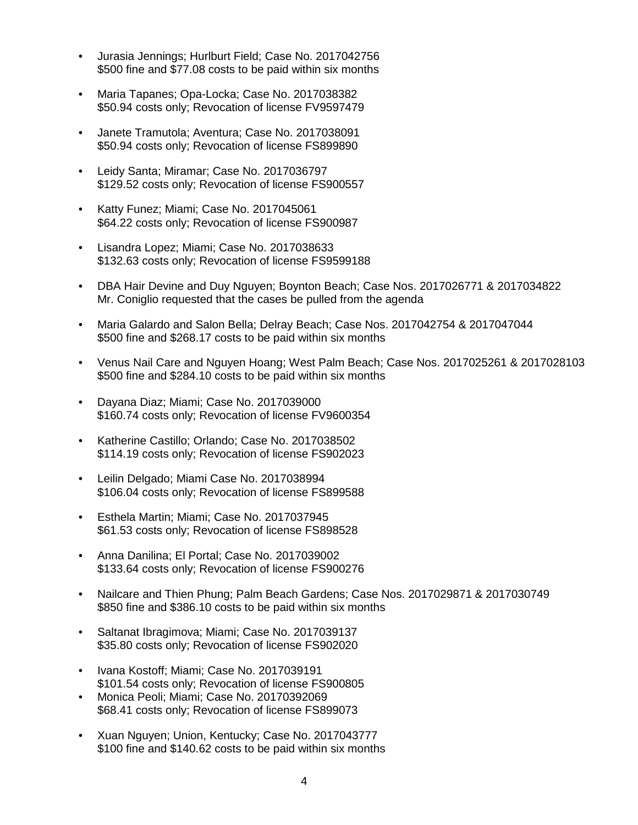- Jurasia Jennings; Hurlburt Field; Case No. 2017042756 \$500 fine and \$77.08 costs to be paid within six months
- Maria Tapanes; Opa-Locka; Case No. 2017038382 \$50.94 costs only; Revocation of license FV9597479
- Janete Tramutola; Aventura; Case No. 2017038091 \$50.94 costs only; Revocation of license FS899890
- Leidy Santa; Miramar; Case No. 2017036797 \$129.52 costs only; Revocation of license FS900557
- Katty Funez; Miami; Case No. 2017045061 \$64.22 costs only; Revocation of license FS900987
- Lisandra Lopez; Miami; Case No. 2017038633 \$132.63 costs only; Revocation of license FS9599188
- DBA Hair Devine and Duy Nguyen; Boynton Beach; Case Nos. 2017026771 & 2017034822 Mr. Coniglio requested that the cases be pulled from the agenda
- Maria Galardo and Salon Bella; Delray Beach; Case Nos. 2017042754 & 2017047044 \$500 fine and \$268.17 costs to be paid within six months
- Venus Nail Care and Nguyen Hoang; West Palm Beach; Case Nos. 2017025261 & 2017028103 \$500 fine and \$284.10 costs to be paid within six months
- Dayana Diaz; Miami; Case No. 2017039000 \$160.74 costs only; Revocation of license FV9600354
- Katherine Castillo; Orlando; Case No. 2017038502 \$114.19 costs only; Revocation of license FS902023
- Leilin Delgado; Miami Case No. 2017038994 \$106.04 costs only; Revocation of license FS899588
- Esthela Martin; Miami; Case No. 2017037945 \$61.53 costs only; Revocation of license FS898528
- Anna Danilina; El Portal; Case No. 2017039002 \$133.64 costs only; Revocation of license FS900276
- Nailcare and Thien Phung; Palm Beach Gardens; Case Nos. 2017029871 & 2017030749 \$850 fine and \$386.10 costs to be paid within six months
- Saltanat Ibragimova; Miami; Case No. 2017039137 \$35.80 costs only; Revocation of license FS902020
- Ivana Kostoff; Miami; Case No. 2017039191 \$101.54 costs only; Revocation of license FS900805
- Monica Peoli; Miami; Case No. 20170392069 \$68.41 costs only; Revocation of license FS899073
- Xuan Nguyen; Union, Kentucky; Case No. 2017043777 \$100 fine and \$140.62 costs to be paid within six months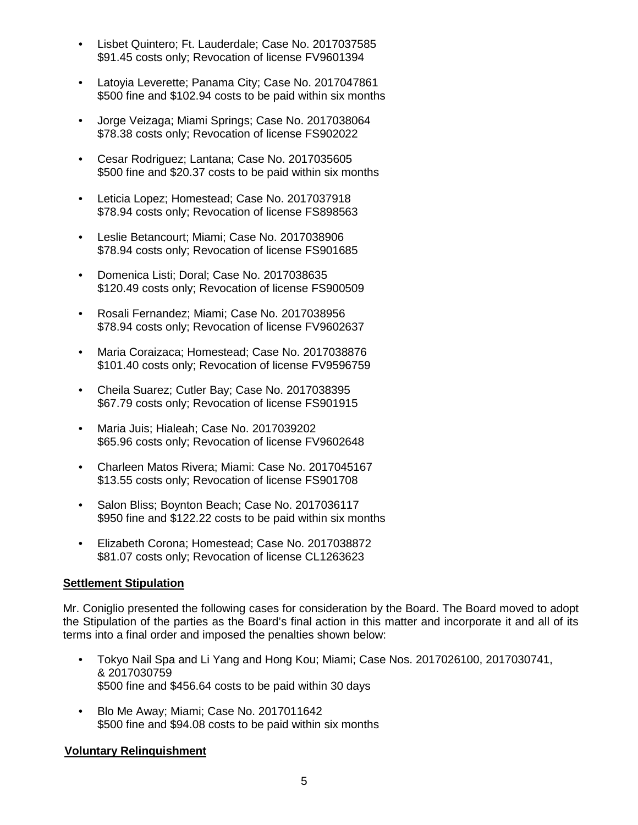- Lisbet Quintero; Ft. Lauderdale; Case No. 2017037585 \$91.45 costs only; Revocation of license FV9601394
- Latoyia Leverette; Panama City; Case No. 2017047861 \$500 fine and \$102.94 costs to be paid within six months
- Jorge Veizaga; Miami Springs; Case No. 2017038064 \$78.38 costs only; Revocation of license FS902022
- Cesar Rodriguez; Lantana; Case No. 2017035605 \$500 fine and \$20.37 costs to be paid within six months
- Leticia Lopez; Homestead; Case No. 2017037918 \$78.94 costs only; Revocation of license FS898563
- Leslie Betancourt; Miami; Case No. 2017038906 \$78.94 costs only; Revocation of license FS901685
- Domenica Listi; Doral; Case No. 2017038635 \$120.49 costs only; Revocation of license FS900509
- Rosali Fernandez; Miami; Case No. 2017038956 \$78.94 costs only; Revocation of license FV9602637
- Maria Coraizaca; Homestead; Case No. 2017038876 \$101.40 costs only; Revocation of license FV9596759
- Cheila Suarez; Cutler Bay; Case No. 2017038395 \$67.79 costs only; Revocation of license FS901915
- Maria Juis; Hialeah; Case No. 2017039202 \$65.96 costs only; Revocation of license FV9602648
- Charleen Matos Rivera; Miami: Case No. 2017045167 \$13.55 costs only; Revocation of license FS901708
- Salon Bliss; Boynton Beach; Case No. 2017036117 \$950 fine and \$122.22 costs to be paid within six months
- Elizabeth Corona; Homestead; Case No. 2017038872 \$81.07 costs only; Revocation of license CL1263623

## **Settlement Stipulation**

Mr. Coniglio presented the following cases for consideration by the Board. The Board moved to adopt the Stipulation of the parties as the Board's final action in this matter and incorporate it and all of its terms into a final order and imposed the penalties shown below:

- Tokyo Nail Spa and Li Yang and Hong Kou; Miami; Case Nos. 2017026100, 2017030741, & 2017030759 \$500 fine and \$456.64 costs to be paid within 30 days
- Blo Me Away; Miami; Case No. 2017011642 \$500 fine and \$94.08 costs to be paid within six months

# **Voluntary Relinquishment**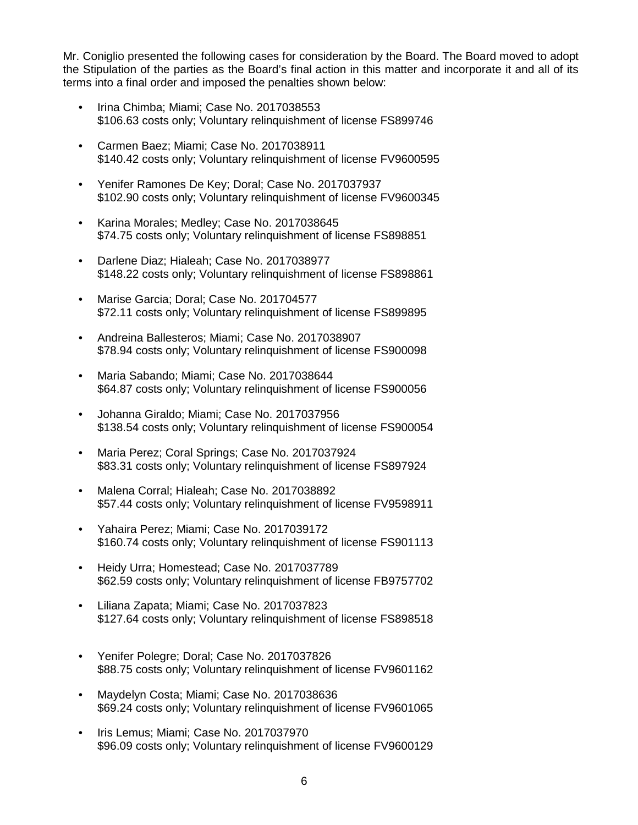Mr. Coniglio presented the following cases for consideration by the Board. The Board moved to adopt the Stipulation of the parties as the Board's final action in this matter and incorporate it and all of its terms into a final order and imposed the penalties shown below:

- Irina Chimba; Miami; Case No. 2017038553 \$106.63 costs only; Voluntary relinquishment of license FS899746
- Carmen Baez; Miami; Case No. 2017038911 \$140.42 costs only; Voluntary relinquishment of license FV9600595
- Yenifer Ramones De Key; Doral; Case No. 2017037937 \$102.90 costs only; Voluntary relinquishment of license FV9600345
- Karina Morales; Medley; Case No. 2017038645 \$74.75 costs only; Voluntary relinquishment of license FS898851
- Darlene Diaz; Hialeah; Case No. 2017038977 \$148.22 costs only; Voluntary relinquishment of license FS898861
- Marise Garcia; Doral; Case No. 201704577 \$72.11 costs only; Voluntary relinquishment of license FS899895
- Andreina Ballesteros; Miami; Case No. 2017038907 \$78.94 costs only; Voluntary relinquishment of license FS900098
- Maria Sabando; Miami; Case No. 2017038644 \$64.87 costs only; Voluntary relinquishment of license FS900056
- Johanna Giraldo; Miami; Case No. 2017037956 \$138.54 costs only; Voluntary relinquishment of license FS900054
- Maria Perez; Coral Springs; Case No. 2017037924 \$83.31 costs only; Voluntary relinquishment of license FS897924
- Malena Corral; Hialeah; Case No. 2017038892 \$57.44 costs only; Voluntary relinquishment of license FV9598911
- Yahaira Perez; Miami; Case No. 2017039172 \$160.74 costs only; Voluntary relinquishment of license FS901113
- Heidy Urra; Homestead; Case No. 2017037789 \$62.59 costs only; Voluntary relinquishment of license FB9757702
- Liliana Zapata; Miami; Case No. 2017037823 \$127.64 costs only; Voluntary relinquishment of license FS898518
- Yenifer Polegre; Doral; Case No. 2017037826 \$88.75 costs only; Voluntary relinquishment of license FV9601162
- Maydelyn Costa; Miami; Case No. 2017038636 \$69.24 costs only; Voluntary relinquishment of license FV9601065
- Iris Lemus; Miami; Case No. 2017037970 \$96.09 costs only; Voluntary relinquishment of license FV9600129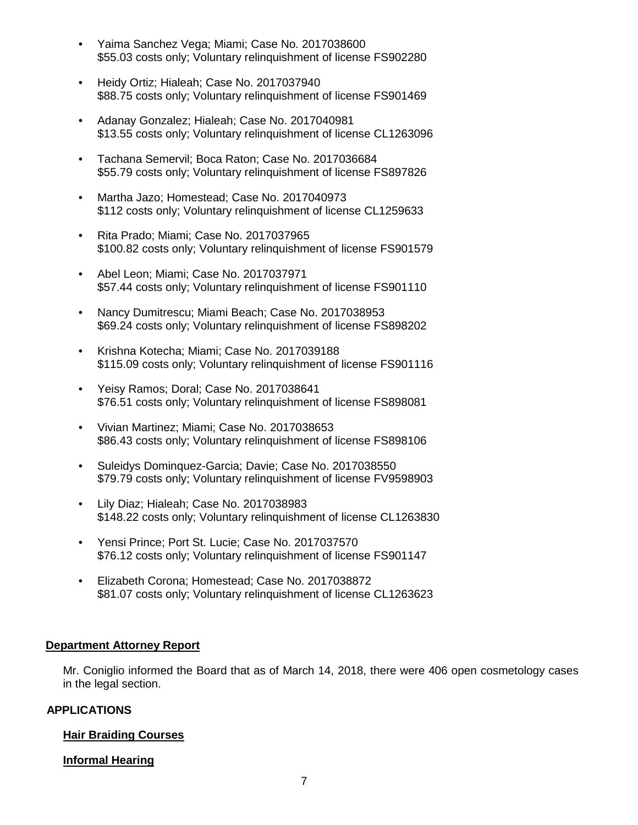- Yaima Sanchez Vega; Miami; Case No. 2017038600 \$55.03 costs only; Voluntary relinquishment of license FS902280
- Heidy Ortiz; Hialeah; Case No. 2017037940 \$88.75 costs only; Voluntary relinquishment of license FS901469
- Adanay Gonzalez; Hialeah; Case No. 2017040981 \$13.55 costs only; Voluntary relinquishment of license CL1263096
- Tachana Semervil; Boca Raton; Case No. 2017036684 \$55.79 costs only; Voluntary relinquishment of license FS897826
- Martha Jazo; Homestead; Case No. 2017040973 \$112 costs only; Voluntary relinquishment of license CL1259633
- Rita Prado; Miami; Case No. 2017037965 \$100.82 costs only; Voluntary relinquishment of license FS901579
- Abel Leon; Miami; Case No. 2017037971 \$57.44 costs only; Voluntary relinquishment of license FS901110
- Nancy Dumitrescu; Miami Beach; Case No. 2017038953 \$69.24 costs only; Voluntary relinquishment of license FS898202
- Krishna Kotecha; Miami; Case No. 2017039188 \$115.09 costs only; Voluntary relinquishment of license FS901116
- Yeisy Ramos; Doral; Case No. 2017038641 \$76.51 costs only; Voluntary relinquishment of license FS898081
- Vivian Martinez; Miami; Case No. 2017038653 \$86.43 costs only; Voluntary relinquishment of license FS898106
- Suleidys Dominquez-Garcia; Davie; Case No. 2017038550 \$79.79 costs only; Voluntary relinquishment of license FV9598903
- Lily Diaz; Hialeah; Case No. 2017038983 \$148.22 costs only; Voluntary relinquishment of license CL1263830
- Yensi Prince; Port St. Lucie; Case No. 2017037570 \$76.12 costs only; Voluntary relinquishment of license FS901147
- Elizabeth Corona; Homestead; Case No. 2017038872 \$81.07 costs only; Voluntary relinquishment of license CL1263623

## **Department Attorney Report**

Mr. Coniglio informed the Board that as of March 14, 2018, there were 406 open cosmetology cases in the legal section.

# **APPLICATIONS**

## **Hair Braiding Courses**

# **Informal Hearing**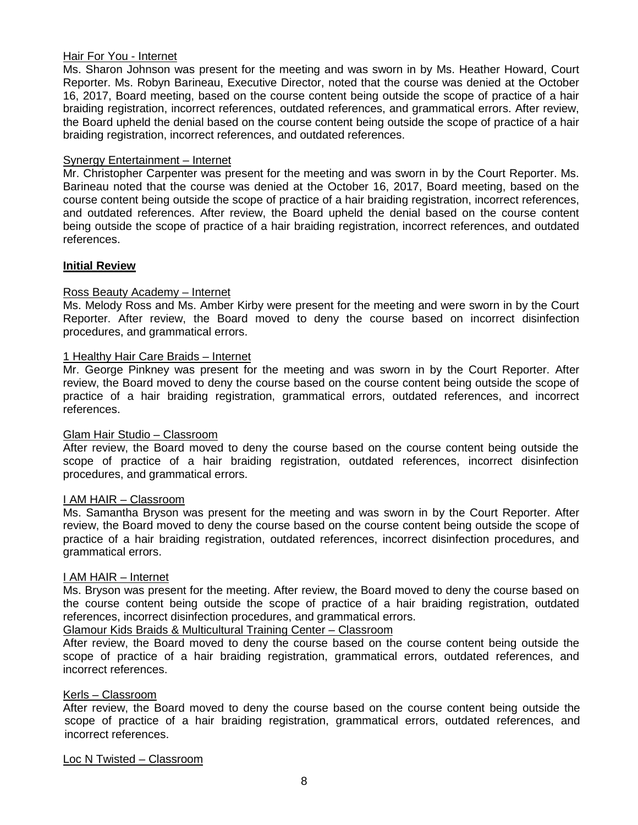## Hair For You - Internet

Ms. Sharon Johnson was present for the meeting and was sworn in by Ms. Heather Howard, Court Reporter. Ms. Robyn Barineau, Executive Director, noted that the course was denied at the October 16, 2017, Board meeting, based on the course content being outside the scope of practice of a hair braiding registration, incorrect references, outdated references, and grammatical errors. After review, the Board upheld the denial based on the course content being outside the scope of practice of a hair braiding registration, incorrect references, and outdated references.

#### Synergy Entertainment – Internet

Mr. Christopher Carpenter was present for the meeting and was sworn in by the Court Reporter. Ms. Barineau noted that the course was denied at the October 16, 2017, Board meeting, based on the course content being outside the scope of practice of a hair braiding registration, incorrect references, and outdated references. After review, the Board upheld the denial based on the course content being outside the scope of practice of a hair braiding registration, incorrect references, and outdated references.

## **Initial Review**

## Ross Beauty Academy – Internet

Ms. Melody Ross and Ms. Amber Kirby were present for the meeting and were sworn in by the Court Reporter. After review, the Board moved to deny the course based on incorrect disinfection procedures, and grammatical errors.

#### 1 Healthy Hair Care Braids – Internet

Mr. George Pinkney was present for the meeting and was sworn in by the Court Reporter. After review, the Board moved to deny the course based on the course content being outside the scope of practice of a hair braiding registration, grammatical errors, outdated references, and incorrect references.

#### Glam Hair Studio – Classroom

After review, the Board moved to deny the course based on the course content being outside the scope of practice of a hair braiding registration, outdated references, incorrect disinfection procedures, and grammatical errors.

#### I AM HAIR – Classroom

Ms. Samantha Bryson was present for the meeting and was sworn in by the Court Reporter. After review, the Board moved to deny the course based on the course content being outside the scope of practice of a hair braiding registration, outdated references, incorrect disinfection procedures, and grammatical errors.

#### I AM HAIR – Internet

Ms. Bryson was present for the meeting. After review, the Board moved to deny the course based on the course content being outside the scope of practice of a hair braiding registration, outdated references, incorrect disinfection procedures, and grammatical errors.

## Glamour Kids Braids & Multicultural Training Center – Classroom

After review, the Board moved to deny the course based on the course content being outside the scope of practice of a hair braiding registration, grammatical errors, outdated references, and incorrect references.

#### Kerls – Classroom

After review, the Board moved to deny the course based on the course content being outside the scope of practice of a hair braiding registration, grammatical errors, outdated references, and incorrect references.

#### Loc N Twisted – Classroom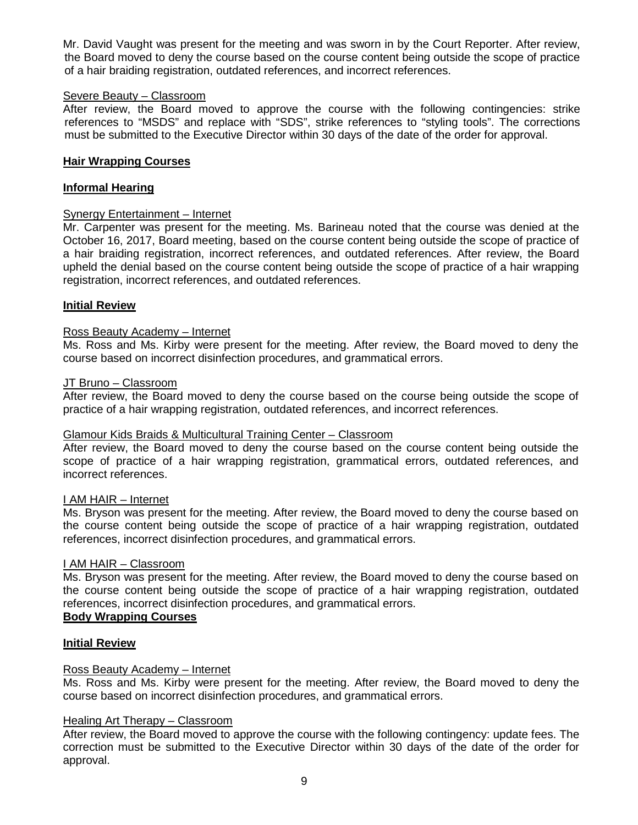Mr. David Vaught was present for the meeting and was sworn in by the Court Reporter. After review, the Board moved to deny the course based on the course content being outside the scope of practice of a hair braiding registration, outdated references, and incorrect references.

#### Severe Beauty – Classroom

After review, the Board moved to approve the course with the following contingencies: strike references to "MSDS" and replace with "SDS", strike references to "styling tools". The corrections must be submitted to the Executive Director within 30 days of the date of the order for approval.

#### **Hair Wrapping Courses**

#### **Informal Hearing**

## Synergy Entertainment – Internet

Mr. Carpenter was present for the meeting. Ms. Barineau noted that the course was denied at the October 16, 2017, Board meeting, based on the course content being outside the scope of practice of a hair braiding registration, incorrect references, and outdated references. After review, the Board upheld the denial based on the course content being outside the scope of practice of a hair wrapping registration, incorrect references, and outdated references.

#### **Initial Review**

#### Ross Beauty Academy – Internet

Ms. Ross and Ms. Kirby were present for the meeting. After review, the Board moved to deny the course based on incorrect disinfection procedures, and grammatical errors.

#### JT Bruno – Classroom

After review, the Board moved to deny the course based on the course being outside the scope of practice of a hair wrapping registration, outdated references, and incorrect references.

## Glamour Kids Braids & Multicultural Training Center – Classroom

After review, the Board moved to deny the course based on the course content being outside the scope of practice of a hair wrapping registration, grammatical errors, outdated references, and incorrect references.

#### I AM HAIR – Internet

Ms. Bryson was present for the meeting. After review, the Board moved to deny the course based on the course content being outside the scope of practice of a hair wrapping registration, outdated references, incorrect disinfection procedures, and grammatical errors.

#### I AM HAIR – Classroom

Ms. Bryson was present for the meeting. After review, the Board moved to deny the course based on the course content being outside the scope of practice of a hair wrapping registration, outdated references, incorrect disinfection procedures, and grammatical errors.

## **Body Wrapping Courses**

#### **Initial Review**

#### Ross Beauty Academy – Internet

Ms. Ross and Ms. Kirby were present for the meeting. After review, the Board moved to deny the course based on incorrect disinfection procedures, and grammatical errors.

#### Healing Art Therapy – Classroom

After review, the Board moved to approve the course with the following contingency: update fees. The correction must be submitted to the Executive Director within 30 days of the date of the order for approval.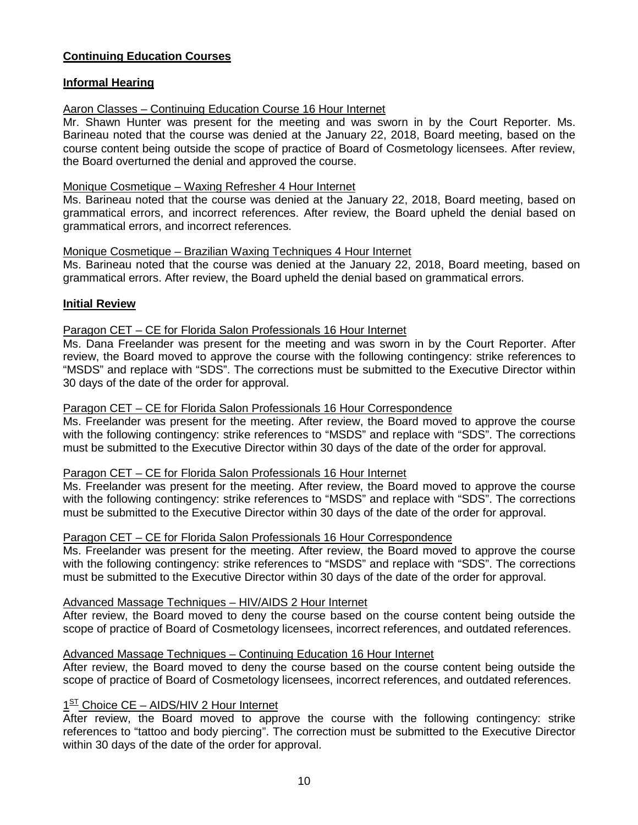## **Continuing Education Courses**

## **Informal Hearing**

## Aaron Classes – Continuing Education Course 16 Hour Internet

Mr. Shawn Hunter was present for the meeting and was sworn in by the Court Reporter. Ms. Barineau noted that the course was denied at the January 22, 2018, Board meeting, based on the course content being outside the scope of practice of Board of Cosmetology licensees. After review, the Board overturned the denial and approved the course.

## Monique Cosmetique – Waxing Refresher 4 Hour Internet

Ms. Barineau noted that the course was denied at the January 22, 2018, Board meeting, based on grammatical errors, and incorrect references. After review, the Board upheld the denial based on grammatical errors, and incorrect references.

## Monique Cosmetique – Brazilian Waxing Techniques 4 Hour Internet

Ms. Barineau noted that the course was denied at the January 22, 2018, Board meeting, based on grammatical errors. After review, the Board upheld the denial based on grammatical errors.

## **Initial Review**

## Paragon CET – CE for Florida Salon Professionals 16 Hour Internet

Ms. Dana Freelander was present for the meeting and was sworn in by the Court Reporter. After review, the Board moved to approve the course with the following contingency: strike references to "MSDS" and replace with "SDS". The corrections must be submitted to the Executive Director within 30 days of the date of the order for approval.

## Paragon CET – CE for Florida Salon Professionals 16 Hour Correspondence

Ms. Freelander was present for the meeting. After review, the Board moved to approve the course with the following contingency: strike references to "MSDS" and replace with "SDS". The corrections must be submitted to the Executive Director within 30 days of the date of the order for approval.

#### Paragon CET – CE for Florida Salon Professionals 16 Hour Internet

Ms. Freelander was present for the meeting. After review, the Board moved to approve the course with the following contingency: strike references to "MSDS" and replace with "SDS". The corrections must be submitted to the Executive Director within 30 days of the date of the order for approval.

## Paragon CET – CE for Florida Salon Professionals 16 Hour Correspondence

Ms. Freelander was present for the meeting. After review, the Board moved to approve the course with the following contingency: strike references to "MSDS" and replace with "SDS". The corrections must be submitted to the Executive Director within 30 days of the date of the order for approval.

#### Advanced Massage Techniques – HIV/AIDS 2 Hour Internet

After review, the Board moved to deny the course based on the course content being outside the scope of practice of Board of Cosmetology licensees, incorrect references, and outdated references.

## Advanced Massage Techniques – Continuing Education 16 Hour Internet

After review, the Board moved to deny the course based on the course content being outside the scope of practice of Board of Cosmetology licensees, incorrect references, and outdated references.

# 1<sup>ST</sup> Choice CE – AIDS/HIV 2 Hour Internet

After review, the Board moved to approve the course with the following contingency: strike references to "tattoo and body piercing". The correction must be submitted to the Executive Director within 30 days of the date of the order for approval.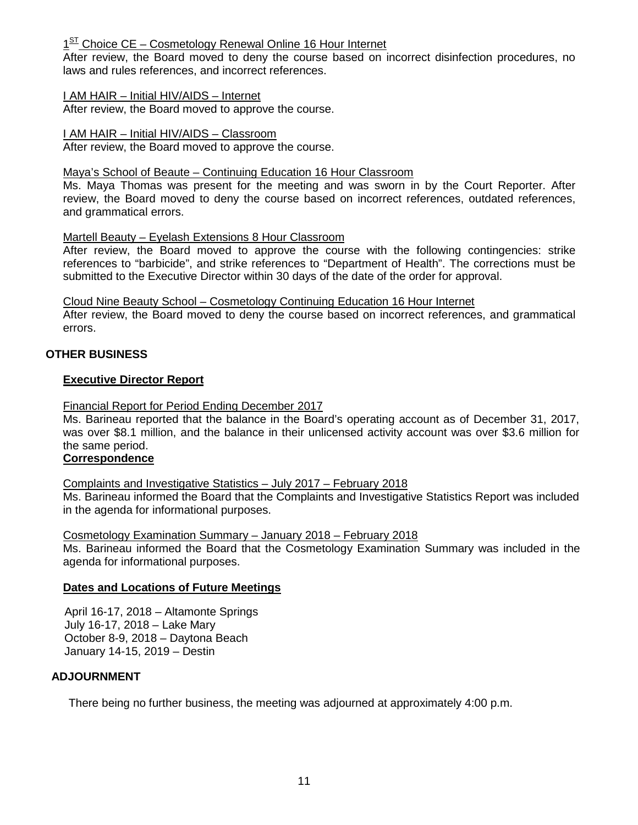$1<sup>ST</sup>$  Choice CE – Cosmetology Renewal Online 16 Hour Internet

After review, the Board moved to deny the course based on incorrect disinfection procedures, no laws and rules references, and incorrect references.

## I AM HAIR – Initial HIV/AIDS – Internet

After review, the Board moved to approve the course.

#### I AM HAIR – Initial HIV/AIDS – Classroom

After review, the Board moved to approve the course.

#### Maya's School of Beaute – Continuing Education 16 Hour Classroom

Ms. Maya Thomas was present for the meeting and was sworn in by the Court Reporter. After review, the Board moved to deny the course based on incorrect references, outdated references, and grammatical errors.

## Martell Beauty – Eyelash Extensions 8 Hour Classroom

After review, the Board moved to approve the course with the following contingencies: strike references to "barbicide", and strike references to "Department of Health". The corrections must be submitted to the Executive Director within 30 days of the date of the order for approval.

#### Cloud Nine Beauty School – Cosmetology Continuing Education 16 Hour Internet

After review, the Board moved to deny the course based on incorrect references, and grammatical errors.

## **OTHER BUSINESS**

#### **Executive Director Report**

## Financial Report for Period Ending December 2017

Ms. Barineau reported that the balance in the Board's operating account as of December 31, 2017, was over \$8.1 million, and the balance in their unlicensed activity account was over \$3.6 million for the same period.

# **Correspondence**

## Complaints and Investigative Statistics – July 2017 – February 2018

Ms. Barineau informed the Board that the Complaints and Investigative Statistics Report was included in the agenda for informational purposes.

#### Cosmetology Examination Summary – January 2018 – February 2018

Ms. Barineau informed the Board that the Cosmetology Examination Summary was included in the agenda for informational purposes.

## **Dates and Locations of Future Meetings**

April 16-17, 2018 – Altamonte Springs July 16-17, 2018 – Lake Mary October 8-9, 2018 – Daytona Beach January 14-15, 2019 – Destin

## **ADJOURNMENT**

There being no further business, the meeting was adjourned at approximately 4:00 p.m.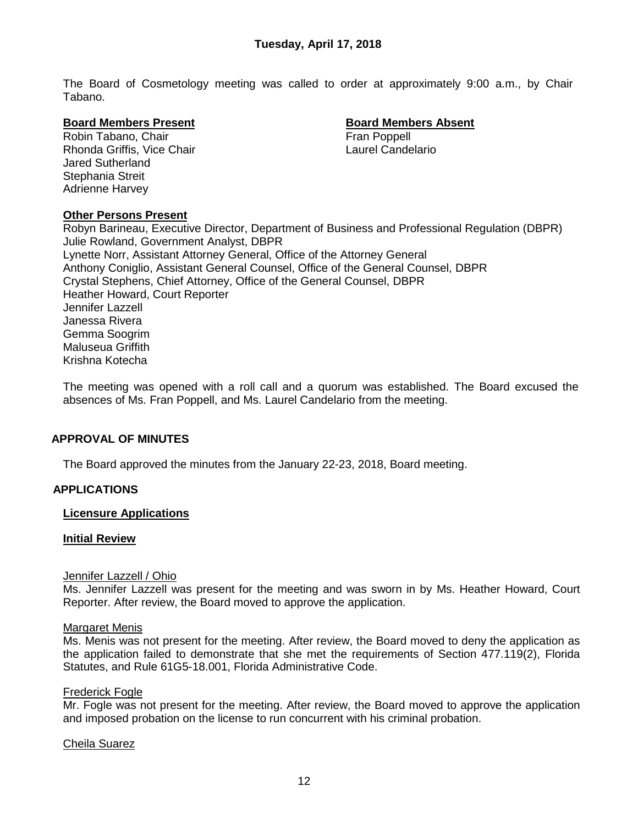The Board of Cosmetology meeting was called to order at approximately 9:00 a.m., by Chair Tabano.

#### **Board Members Present Board Members Absent**

Robin Tabano, Chair **Fran Poppell**<br>Rhonda Griffis. Vice Chair Fran Poppell Laurel Candelario Rhonda Griffis, Vice Chair Jared Sutherland Stephania Streit Adrienne Harvey

## **Other Persons Present**

Robyn Barineau, Executive Director, Department of Business and Professional Regulation (DBPR) Julie Rowland, Government Analyst, DBPR Lynette Norr, Assistant Attorney General, Office of the Attorney General Anthony Coniglio, Assistant General Counsel, Office of the General Counsel, DBPR Crystal Stephens, Chief Attorney, Office of the General Counsel, DBPR Heather Howard, Court Reporter Jennifer Lazzell Janessa Rivera Gemma Soogrim Maluseua Griffith Krishna Kotecha

The meeting was opened with a roll call and a quorum was established. The Board excused the absences of Ms. Fran Poppell, and Ms. Laurel Candelario from the meeting.

#### **APPROVAL OF MINUTES**

The Board approved the minutes from the January 22-23, 2018, Board meeting.

#### **APPLICATIONS**

#### **Licensure Applications**

#### **Initial Review**

#### Jennifer Lazzell / Ohio

Ms. Jennifer Lazzell was present for the meeting and was sworn in by Ms. Heather Howard, Court Reporter. After review, the Board moved to approve the application.

#### Margaret Menis

Ms. Menis was not present for the meeting. After review, the Board moved to deny the application as the application failed to demonstrate that she met the requirements of Section 477.119(2), Florida Statutes, and Rule 61G5-18.001, Florida Administrative Code.

#### Frederick Fogle

Mr. Fogle was not present for the meeting. After review, the Board moved to approve the application and imposed probation on the license to run concurrent with his criminal probation.

#### Cheila Suarez